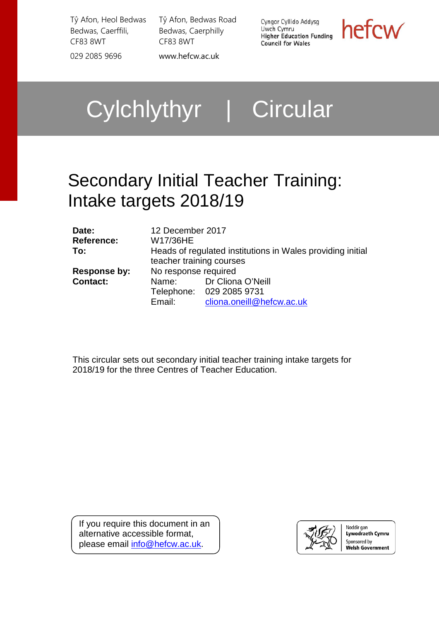Tŷ Afon, Heol Bedwas Bedwas, Caerffili, CF83 8WT 029 2085 9696 [www.hefcw.ac.uk](http://www.hefcw.ac.uk/)

Tŷ Afon, Bedwas Road Bedwas, Caerphilly CF83 8WT

Cyngor Cyllido Addysg Uwch Cymru **Uwch Cymru<br>Higher Education Funding Council for Wales** 

hefcw

Cylchlythyr | Circular

# Secondary Initial Teacher Training: Intake targets 2018/19

| Date:<br><b>Reference:</b><br>To: | 12 December 2017<br>W17/36HE<br>Heads of regulated institutions in Wales providing initial<br>teacher training courses |                                                                                  |  |  |
|-----------------------------------|------------------------------------------------------------------------------------------------------------------------|----------------------------------------------------------------------------------|--|--|
| Response by:<br><b>Contact:</b>   | No response required<br>Email:                                                                                         | Name: Dr Cliona O'Neill<br>Telephone: 029 2085 9731<br>cliona.oneill@hefcw.ac.uk |  |  |

This circular sets out secondary initial teacher training intake targets for 2018/19 for the three Centres of Teacher Education.

If you require this document in an alternative accessible format, please email [info@hefcw.ac.uk.](mailto:info@hefcw.ac.uk)



Noddir gan **Lywodraeth Cymru** Sponsored by **Welsh Government**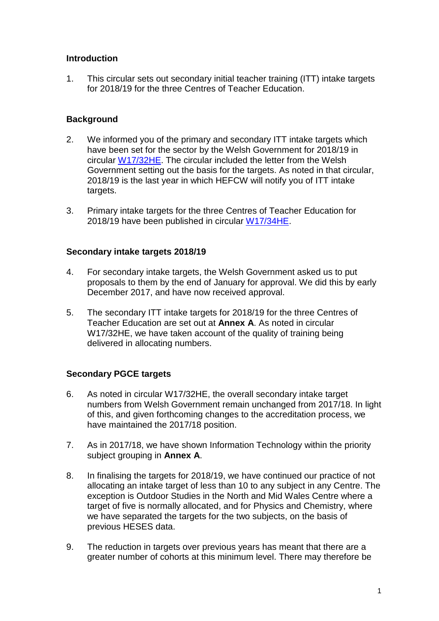### **Introduction**

1. This circular sets out secondary initial teacher training (ITT) intake targets for 2018/19 for the three Centres of Teacher Education.

#### **Background**

- 2. We informed you of the primary and secondary ITT intake targets which have been set for the sector by the Welsh Government for 2018/19 in circular [W17/32HE.](http://www.hefcw.ac.uk/documents/publications/circulars/circulars_2017/W17%2032HE%20Initial%20Teacher%20Education%20Intake%20targets%202018_19.pdf) The circular included the letter from the Welsh Government setting out the basis for the targets. As noted in that circular, 2018/19 is the last year in which HEFCW will notify you of ITT intake targets.
- 3. Primary intake targets for the three Centres of Teacher Education for 2018/19 have been published in circular [W17/34HE.](https://www.hefcw.ac.uk/documents/publications/circulars/circulars_2017/W17%2034HE%20Primary%20Initial%20Teacher%20Education%20Intake%20targets%202018_19.pdf)

#### **Secondary intake targets 2018/19**

- 4. For secondary intake targets, the Welsh Government asked us to put proposals to them by the end of January for approval. We did this by early December 2017, and have now received approval.
- 5. The secondary ITT intake targets for 2018/19 for the three Centres of Teacher Education are set out at **Annex A**. As noted in circular W17/32HE, we have taken account of the quality of training being delivered in allocating numbers.

#### **Secondary PGCE targets**

- 6. As noted in circular W17/32HE, the overall secondary intake target numbers from Welsh Government remain unchanged from 2017/18. In light of this, and given forthcoming changes to the accreditation process, we have maintained the 2017/18 position.
- 7. As in 2017/18, we have shown Information Technology within the priority subject grouping in **Annex A**.
- 8. In finalising the targets for 2018/19, we have continued our practice of not allocating an intake target of less than 10 to any subject in any Centre. The exception is Outdoor Studies in the North and Mid Wales Centre where a target of five is normally allocated, and for Physics and Chemistry, where we have separated the targets for the two subjects, on the basis of previous HESES data.
- 9. The reduction in targets over previous years has meant that there are a greater number of cohorts at this minimum level. There may therefore be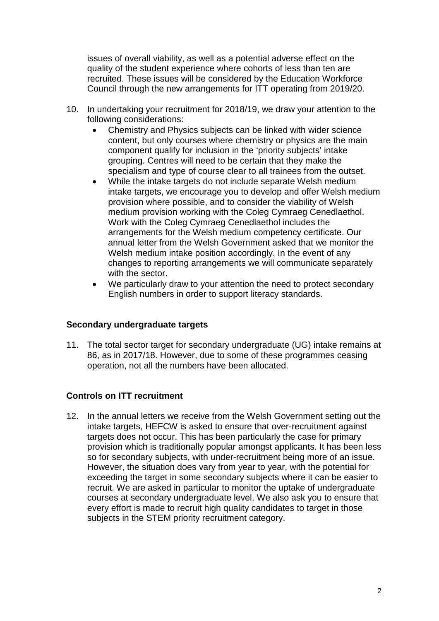issues of overall viability, as well as a potential adverse effect on the quality of the student experience where cohorts of less than ten are recruited. These issues will be considered by the Education Workforce Council through the new arrangements for ITT operating from 2019/20.

- 10. In undertaking your recruitment for 2018/19, we draw your attention to the following considerations:
	- Chemistry and Physics subjects can be linked with wider science content, but only courses where chemistry or physics are the main component qualify for inclusion in the 'priority subjects' intake grouping. Centres will need to be certain that they make the specialism and type of course clear to all trainees from the outset.
	- While the intake targets do not include separate Welsh medium intake targets, we encourage you to develop and offer Welsh medium provision where possible, and to consider the viability of Welsh medium provision working with the Coleg Cymraeg Cenedlaethol. Work with the Coleg Cymraeg Cenedlaethol includes the arrangements for the Welsh medium competency certificate. Our annual letter from the Welsh Government asked that we monitor the Welsh medium intake position accordingly. In the event of any changes to reporting arrangements we will communicate separately with the sector.
	- We particularly draw to your attention the need to protect secondary English numbers in order to support literacy standards.

# **Secondary undergraduate targets**

11. The total sector target for secondary undergraduate (UG) intake remains at 86, as in 2017/18. However, due to some of these programmes ceasing operation, not all the numbers have been allocated.

# **Controls on ITT recruitment**

12. In the annual letters we receive from the Welsh Government setting out the intake targets, HEFCW is asked to ensure that over-recruitment against targets does not occur. This has been particularly the case for primary provision which is traditionally popular amongst applicants. It has been less so for secondary subjects, with under-recruitment being more of an issue. However, the situation does vary from year to year, with the potential for exceeding the target in some secondary subjects where it can be easier to recruit. We are asked in particular to monitor the uptake of undergraduate courses at secondary undergraduate level. We also ask you to ensure that every effort is made to recruit high quality candidates to target in those subjects in the STEM priority recruitment category.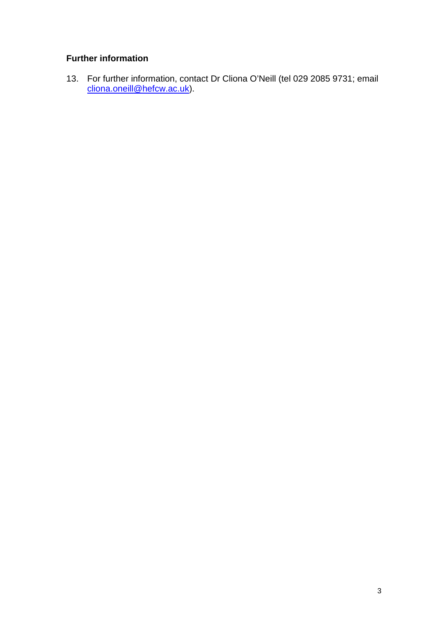# **Further information**

13. For further information, contact Dr Cliona O'Neill (tel 029 2085 9731; email <u>cliona.oneill@hefcw.ac.uk</u>).